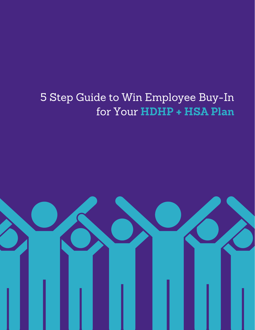# 5 Step Guide to Win Employee Buy-In for Your **HDHP + HSA Plan**

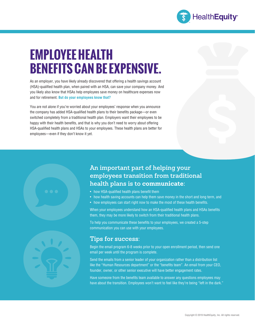

# **EMPLOYEE HEALTH BENEFITS CAN BE EXPENSIVE.**

As an employer, you have likely already discovered that offering a health savings account (HSA)-qualified health plan, when paired with an HSA, can save your company money. And you likely also know that HSAs help employees save money on healthcare expenses now and for retirement. **But do your employees know that?**

You are not alone if you're worried about your employees' response when you announce the company has added HSA-qualified health plans to their benefits package—or even switched completely from a traditional health plan. Employers want their employees to be happy with their health benefits, and that is why you don't need to worry about offering HSA-qualified health plans and HSAs to your employees. These health plans are better for employees—even if they don't know it yet.

# **An important part of helping your employees transition from traditional health plans is to communicate:**

- how HSA-qualified health plans benefit them
- how health saving accounts can help them save money in the short and long term, and
- how employees can start right now to make the most of these health benefits.

When your employees understand how an HSA-qualified health plans and HSAs benefits them, they may be more likely to switch from their traditional health plans.

To help you communicate these benefits to your employees, we created a 5-step communication you can use with your employees.

# **Tips for success:**

Begin the email program 6-8 weeks prior to your open enrollment period, then send one email per week until the program is complete.

Send the emails from a senior leader of your organization rather than a distribution list like the "Human Resources department" or the "benefits team". An email from your CEO, founder, owner, or other senior executive will have better engagement rates.

Have someone from the benefits team available to answer any questions employees may have about the transition. Employees won't want to feel like they're being "left in the dark."

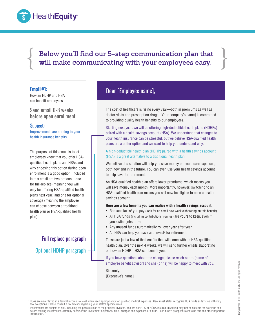

 $\left\{\begin{array}{c} \text{Below you'll find our 5-step communication plan that} \\ \text{will make communicating with your employees easy.} \end{array}\right\}$ **Below you'll find our 5-step communication plan that will make communicating with your employees easy.** 

### **Email #1:**

How an HDHP and HSA can benefit employees

Send email 6-8 weeks before open enrollment

### Subject:

Improvements are coming to your health insurance benefits

The purpose of this email is to let employees know that you offer HSAqualified health plans and HSAs and why choosing this option during open enrollment is a good option. Included in this email are two options—one for full-replace (meaning you will only be offering HSA-qualified health plans next year) and one for optional coverage (meaning the employee can choose between a traditional health plan or HSA-qualified health plan).

Full replace paragraph Optional HDHP paragraph

# Dear [Employee name],

The cost of healthcare is rising every year—both in premiums as well as doctor visits and prescription drugs. [Your company's name] is committed to providing quality health benefits to our employees.

Starting next year, we will be offering high-deductible health plans (HDHPs) paired with a health savings account (HSA). We understand that changes to your health insurance can be stressful, but we believe HSA-qualified health plans are a better option and we want to help you understand why.

A high-deductible health plan (HDHP) paired with a health savings account (HSA) is a great alternative to a traditional health plan.

We believe this solution will help you save money on healthcare expenses, both now and in the future. You can even use your health savings account to help save for retirement.

An HSA-qualified health plan offers lower premiums, which means you will save money each month. More importantly, however, switching to an HSA-qualified health plan means you will now be eligible to open a health savings account.

#### **Here are a few benefits you can realize with a health savings account:**

- Reduces taxes<sup>1</sup> you pay (look for an email next week elaborating on this benefit)
- All HSA funds (including contributions from us) are yours to keep, even if you switch jobs or retire
- Any unused funds automatically roll over year after year
- $\bullet~$  An HSA can help you save and invest $^{\rm 2}$  for retirement

These are just a few of the benefits that will come with an HSA-qualified health plan. Over the next 4 weeks, we will send further emails elaborating on how an HDHP + HSA can benefit you.

If you have questions about the change, please reach out to [name of employee benefit advisor] and she (or he) will be happy to meet with you.

Sincerely, [Executive's name]

<sup>1</sup>HSAs are never taxed at a federal income tax level when used appropriately for qualified medical expenses. Also, most states recognize HSA funds as tax-free with very few exceptions. Please consult a tax advisor regarding your state's specific rules

<sup>2</sup> Investments are subject to risk, including the possible loss of the principal invested, and are not FDIC or NCUA insured. Investing may not be suitable for everyone and before making investments, carefully consider the investment objectives, risks, charges and expenses of a fund. Each fund's prospectus contains this and other important information.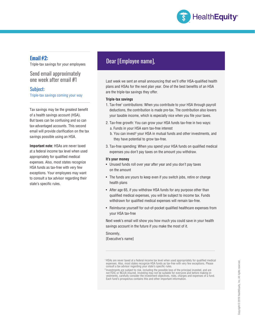

## **Email #2:**

Triple-tax savings for your employees

Send email approximately one week after email #1

Subject: Triple-tax savings coming your way

Tax savings may be the greatest benefit of a health savings account (HSA). But taxes can be confusing and so can tax-advantaged accounts. This second email will provide clarification on the tax savings possible using an HSA.

**Important note:** HSAs are never taxed at a federal income tax level when used appropriately for qualified medical expenses. Also, most states recognize HSA funds as tax-free with very few exceptions. Your employees may want to consult a tax advisor regarding their state's specific rules.

# Dear [Employee name],

Last week we sent an email announcing that we'll offer HSA-qualified health plans and HSAs for the next plan year. One of the best benefits of an HSA are the triple-tax savings they offer.

### **Triple-tax savings**

- 1. Tax-free<sup>1</sup> contributions: When you contribute to your HSA through payroll deductions, the contribution is made pre-tax. The contribution also lowers your taxable income, which is especially nice when you file your taxes.
- 2. Tax-free growth: You can grow your HSA funds tax-free in two ways: a. Funds in your HSA earn tax-free interest
	- b. You can invest<sup>2</sup> your HSA in mutual funds and other investments, and they have potential to grow tax-free.
- 3. Tax-free spending: When you spend your HSA funds on qualified medical expenses you don't pay taxes on the amount you withdraw.

### **It's your money**

- Unused funds roll over year after year and you don't pay taxes on the amount
- The funds are yours to keep even if you switch jobs, retire or change health plans
- After age 65, if you withdraw HSA funds for any purpose other than qualified medical expenses, you will be subject to income tax. Funds withdrawn for qualified medical expenses will remain tax-free.
- Reimburse yourself for out-of-pocket qualified healthcare expenses from your HSA tax-free

Next week's email will show you how much you could save in your health savings account in the future if you make the most of it.

Sincerely, [Executive's name]

<sup>1</sup>HSAs are never taxed at a federal income tax level when used appropriately for qualified medical expenses. Also, most states recognize HSA funds as tax-free with very few exceptions. Please consult a tax advisor regarding your state's specific rules.

l investments are subject to risk, including the possible loss of the principal invested, and are? المعروم alo<br>- not FDIC or NCUA insured. Investing may not be suitable for everyone and before making in-<br>- vestments, caref Each fund's prospectus contains this and other important information.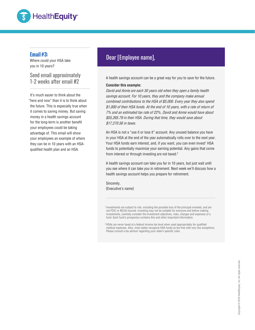

### **Email #3:**

Where could your HSA take you in 10 years?

Send email approximately

It's much easier to think about the "here and now" than it is to think about the future. This is especially true when it comes to saving money. But saving money in a health savings account for the long-term is another benefit your employees could be taking advantage of. This email will show your employees an example of where they can be in 10 years with an HSAqualified health plan and an HSA.

# Dear [Employee name],

Example 11-2 weeks after email #2 A health savings account can be a great way for you to save for the future.

### **Consider this example:**

David and Annie are each 30 years old when they open a family health savings account. For 10 years, they and the company make annual combined contributions to the HSA of \$5,000. Every year they also spend \$1,000 of their HSA funds. At the end of 10 years, with a rate of return of 7% and an estimated tax rate of 22%, David and Annie would have about \$55,265.79 in their HSA. During that time, they would save about \$17,270.56 in taxes.

An HSA is not a "use it or lose it" account. Any unused balance you have in your HSA at the end of the year automatically rolls over to the next year. Your HSA funds earn interest, and, if you want, you can even invest<sup>1</sup> HSA funds to potentially maximize your earning potential. Any gains that come from interest or through investing are not taxed.<sup>2</sup>

A health savings account can take you far in 10 years, but just wait until you see where it can take you in retirement. Next week we'll discuss how a health savings account helps you prepare for retirement.

Sincerely, [Executive's name]

<sup>1</sup> Investments are subject to risk, including the possible loss of the principal invested, and are not FDIC or NCUA insured. Investing may not be suitable for everyone and before making investments, carefully consider the investment objectives, risks, charges and expenses of a fund. Each fund's prospectus contains this and other important information.

<sup>2</sup>HSAs are never taxed at a federal income tax level when used appropriately for qualified medical expenses. Also, most states recognize HSA funds as tax-free with very few exceptions. Please consult a tax advisor regarding your state's specific rules.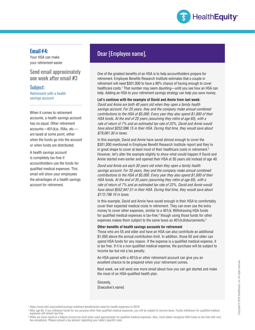

### **Email #4:**

Your HSA can make your retirement easier

### Send email approximately one week after email #3

### Subject:

Retirement with a health savings account

When it comes to retirement accounts, a health savings account has no equal. Other retirement accounts—401(k)s, IRAs, etc. are taxed at some point, either when the funds go into the account or when funds are distributed.

A health savings account is completely tax-free if accountholders use the funds for qualified medical expenses. This email will show your employees the advantages of a health savings account for retirement.

# Dear [Employee name],

One of the greatest benefits of an HSA is to help accountholders prepare for retirement. Employee Benefits Research Institute estimates that a couple in retirement will need \$301,000 to have a 90% chance of having enough to cover healthcare costs.<sup>1</sup> That number may seem daunting—until you see how an HSA can help. Adding an HSA to your retirement savings strategy can help you save money.

#### **Let's continue with the example of David and Annie from last week:**

David and Annie are both 40 years old when they open a family health savings account. For 25 years, they and the company make annual combined contributions to the HSA of \$5,000. Every year they also spend \$1,000 of their HSA funds. At the end of 25 years (assuming they retire at age 65), with a rate of return of 7% and an estimated tax rate of 22%, David and Annie would have about \$252,996.15 in their HSA. During that time, they would save about \$79,061.30 in taxes.

In this example, David and Annie have saved almost enough to cover the \$301,000 mentioned in Employee Benefit Research Institute report and they're in great shape to cover at least most of their healthcare costs in retirement.<sup>2</sup> However, let's alter the example slightly to show what would happen if David and Annie started even earlier and opened their HSA at 30 years old instead of age 40.

David and Annie are each 30 years old when they open a family health savings account. For 35 years, they and the company make annual combined contributions to the HSA of \$5,000. Every year they also spend \$1,000 of their HSA funds. At the end of 35 years (assuming they retire at age 65), with a rate of return of 7% and an estimated tax rate of 22%, David and Annie would have about \$552,947.51 in their HSA. During that time, they would save about \$172,796.10 in taxes.

In this example, David and Annie have saved enough in their HSA to comfortably cover their expected medical costs in retirement. They can even use the extra money to cover other expenses, similar to a 401(k. Withdrawing HSA funds for qualified medical expenses is tax-free, $^3$  though using those funds for other expenses makes them subject to the same taxes as 401(k disbursements.<sup>2</sup>

#### **Other benefits of health savings accounts for retirement**

Those who are 55 and older and have an HSA can also contribute an additional \$1,000 above the annual contribution limit. In addition, those 65 and older can spend HSA funds for any reason. If the expense is a qualified medical expense, it is tax free. If it is a non-qualified medical expense, the purchase will be subject to income tax but not a tax penalty.

An HSA paired with a 401(k or other retirement account can give you an excellent chance to be prepared when your retirement comes.

Next week, we will send one more email about how you can get started and make the most of an HSA-qualified health plan.

Sincerely, [Executive's name]

<sup>2</sup> After age 65, if you withdraw funds for any purpose other than qualified medical expenses, you will be subject to income taxes. Funds withdrawn for qualified medical expenses will remain tax-free.

<sup>1</sup> https://www.ebri.org/content/savings-medicare-beneficiaries-need-for-health-expenses-in-2019

<sup>&</sup>lt;sup>s</sup> HSAs are never taxed at a federal income tax level when used appropriately for qualified medical expenses. Also, most states recognize HSA funds as tax-free with very<br>few exceptions. Please consult a tax advisor regard